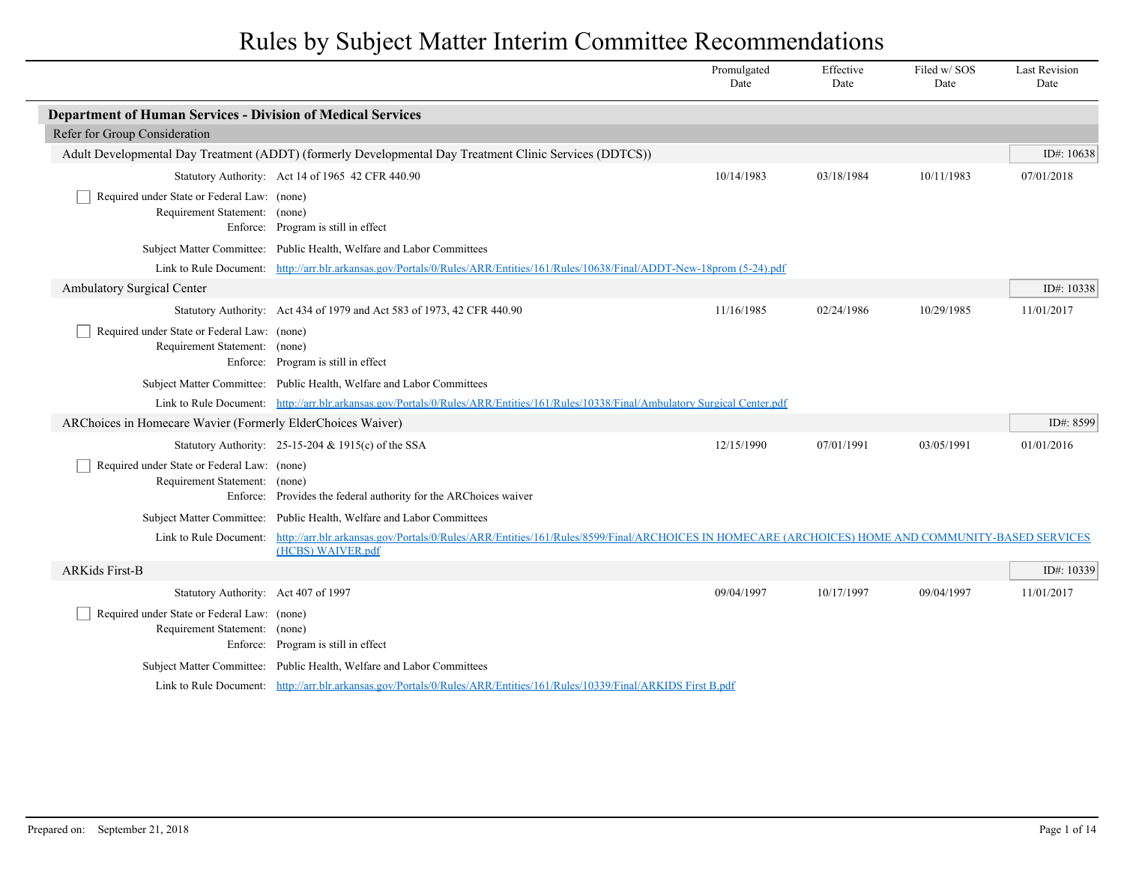|                                                                              |                                                                                                                                                                        | Promulgated<br>Date | Effective<br>Date | Filed w/SOS<br>Date | <b>Last Revision</b><br>Date |
|------------------------------------------------------------------------------|------------------------------------------------------------------------------------------------------------------------------------------------------------------------|---------------------|-------------------|---------------------|------------------------------|
| <b>Department of Human Services - Division of Medical Services</b>           |                                                                                                                                                                        |                     |                   |                     |                              |
| Refer for Group Consideration                                                |                                                                                                                                                                        |                     |                   |                     |                              |
|                                                                              | Adult Developmental Day Treatment (ADDT) (formerly Developmental Day Treatment Clinic Services (DDTCS))                                                                |                     |                   |                     | ID#: 10638                   |
|                                                                              | Statutory Authority: Act 14 of 1965 42 CFR 440.90                                                                                                                      | 10/14/1983          | 03/18/1984        | 10/11/1983          | 07/01/2018                   |
| Required under State or Federal Law: (none)<br>Requirement Statement: (none) | Enforce: Program is still in effect                                                                                                                                    |                     |                   |                     |                              |
|                                                                              | Subject Matter Committee: Public Health, Welfare and Labor Committees                                                                                                  |                     |                   |                     |                              |
|                                                                              | Link to Rule Document: http://arr.blr.arkansas.gov/Portals/0/Rules/ARR/Entities/161/Rules/10638/Final/ADDT-New-18prom (5-24).pdf                                       |                     |                   |                     |                              |
| <b>Ambulatory Surgical Center</b>                                            |                                                                                                                                                                        |                     |                   |                     | ID#: 10338                   |
|                                                                              | Statutory Authority: Act 434 of 1979 and Act 583 of 1973, 42 CFR 440.90                                                                                                | 11/16/1985          | 02/24/1986        | 10/29/1985          | 11/01/2017                   |
| Required under State or Federal Law: (none)<br>Requirement Statement: (none) | Enforce: Program is still in effect                                                                                                                                    |                     |                   |                     |                              |
|                                                                              | Subject Matter Committee: Public Health, Welfare and Labor Committees                                                                                                  |                     |                   |                     |                              |
|                                                                              | Link to Rule Document: http://arr.blr.arkansas.gov/Portals/0/Rules/ARR/Entities/161/Rules/10338/Final/Ambulatory Surgical Center.pdf                                   |                     |                   |                     |                              |
| ARChoices in Homecare Wavier (Formerly ElderChoices Waiver)                  |                                                                                                                                                                        |                     |                   |                     | ID#: 8599                    |
|                                                                              | Statutory Authority: $25-15-204 \& 1915(c)$ of the SSA                                                                                                                 | 12/15/1990          | 07/01/1991        | 03/05/1991          | 01/01/2016                   |
| Required under State or Federal Law: (none)<br>Requirement Statement: (none) | Enforce: Provides the federal authority for the ARChoices waiver                                                                                                       |                     |                   |                     |                              |
|                                                                              | Subject Matter Committee: Public Health, Welfare and Labor Committees                                                                                                  |                     |                   |                     |                              |
| Link to Rule Document:                                                       | http://arr.blr.arkansas.gov/Portals/0/Rules/ARR/Entities/161/Rules/8599/Final/ARCHOICES IN HOMECARE (ARCHOICES) HOME AND COMMUNITY-BASED SERVICES<br>(HCBS) WAIVER.pdf |                     |                   |                     |                              |
| <b>ARKids First-B</b>                                                        |                                                                                                                                                                        |                     |                   |                     | ID#: 10339                   |
| Statutory Authority: Act 407 of 1997                                         |                                                                                                                                                                        | 09/04/1997          | 10/17/1997        | 09/04/1997          | 11/01/2017                   |
| Required under State or Federal Law: (none)<br>Requirement Statement: (none) | Enforce: Program is still in effect                                                                                                                                    |                     |                   |                     |                              |
|                                                                              | Subject Matter Committee: Public Health, Welfare and Labor Committees                                                                                                  |                     |                   |                     |                              |
|                                                                              | Link to Rule Document: http://arr.blr.arkansas.gov/Portals/0/Rules/ARR/Entities/161/Rules/10339/Final/ARKIDS First B.pdf                                               |                     |                   |                     |                              |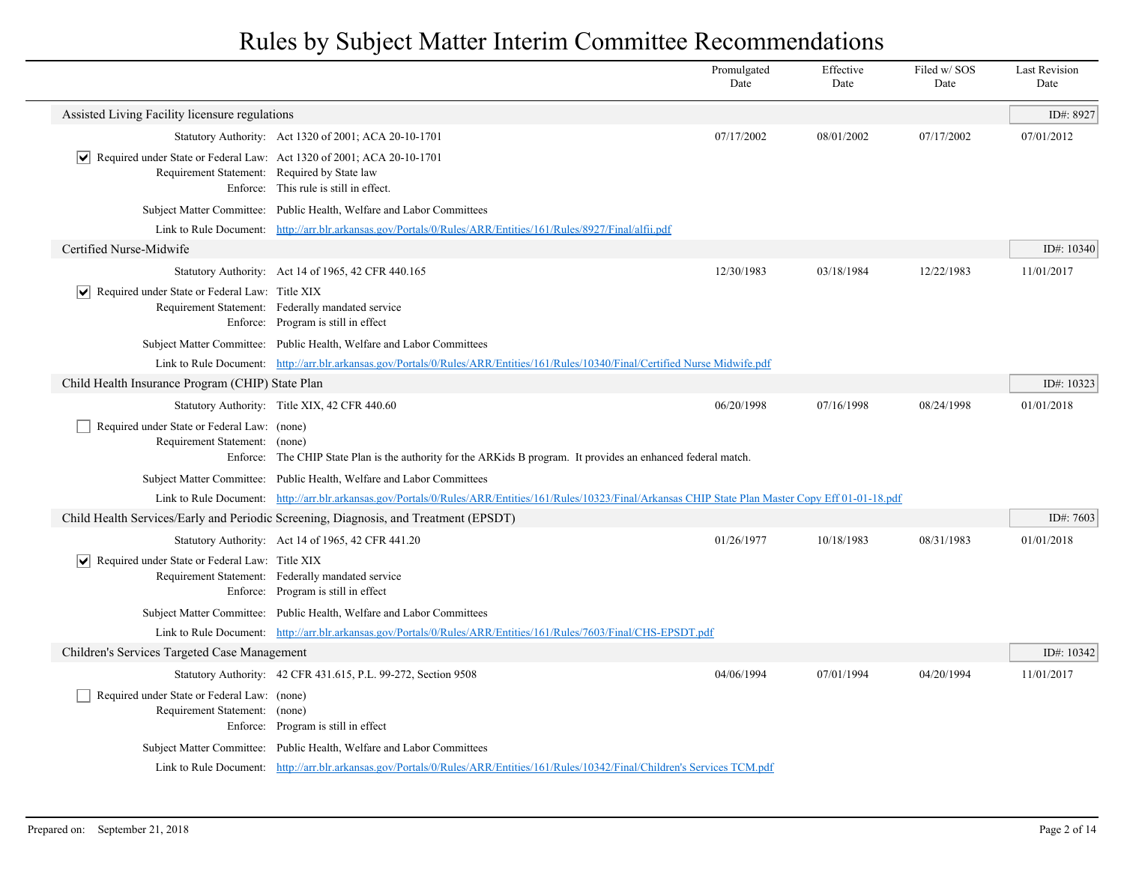|                                                                                                                             |                                                                                                                                                             | Promulgated<br>Date | Effective<br>Date | Filed w/ SOS<br>Date | <b>Last Revision</b><br>Date |
|-----------------------------------------------------------------------------------------------------------------------------|-------------------------------------------------------------------------------------------------------------------------------------------------------------|---------------------|-------------------|----------------------|------------------------------|
| Assisted Living Facility licensure regulations                                                                              |                                                                                                                                                             |                     |                   |                      | ID#: 8927                    |
|                                                                                                                             | Statutory Authority: Act 1320 of 2001; ACA 20-10-1701                                                                                                       | 07/17/2002          | 08/01/2002        | 07/17/2002           | 07/01/2012                   |
| Required under State or Federal Law: Act 1320 of 2001; ACA 20-10-1701<br>VI<br>Requirement Statement: Required by State law | Enforce: This rule is still in effect.                                                                                                                      |                     |                   |                      |                              |
|                                                                                                                             | Subject Matter Committee: Public Health, Welfare and Labor Committees                                                                                       |                     |                   |                      |                              |
|                                                                                                                             | Link to Rule Document: http://arr.blr.arkansas.gov/Portals/0/Rules/ARR/Entities/161/Rules/8927/Final/alfii.pdf                                              |                     |                   |                      |                              |
| Certified Nurse-Midwife                                                                                                     |                                                                                                                                                             |                     |                   |                      | ID#: $10340$                 |
|                                                                                                                             | Statutory Authority: Act 14 of 1965, 42 CFR 440.165                                                                                                         | 12/30/1983          | 03/18/1984        | 12/22/1983           | 11/01/2017                   |
| ∣V∥<br>Required under State or Federal Law: Title XIX                                                                       | Requirement Statement: Federally mandated service<br>Enforce: Program is still in effect                                                                    |                     |                   |                      |                              |
|                                                                                                                             | Subject Matter Committee: Public Health, Welfare and Labor Committees                                                                                       |                     |                   |                      |                              |
|                                                                                                                             | Link to Rule Document: http://arr.blr.arkansas.gov/Portals/0/Rules/ARR/Entities/161/Rules/10340/Final/Certified Nurse Midwife.pdf                           |                     |                   |                      |                              |
| Child Health Insurance Program (CHIP) State Plan                                                                            |                                                                                                                                                             |                     |                   |                      | ID#: 10323                   |
|                                                                                                                             | Statutory Authority: Title XIX, 42 CFR 440.60                                                                                                               | 06/20/1998          | 07/16/1998        | 08/24/1998           | 01/01/2018                   |
| Required under State or Federal Law: (none)<br>Requirement Statement: (none)                                                | Enforce: The CHIP State Plan is the authority for the ARKids B program. It provides an enhanced federal match.                                              |                     |                   |                      |                              |
|                                                                                                                             | Subject Matter Committee: Public Health, Welfare and Labor Committees                                                                                       |                     |                   |                      |                              |
|                                                                                                                             | Link to Rule Document: http://arr.blr.arkansas.gov/Portals/0/Rules/ARR/Entities/161/Rules/10323/Final/Arkansas CHIP State Plan Master Copy Eff 01-01-18.pdf |                     |                   |                      |                              |
|                                                                                                                             | Child Health Services/Early and Periodic Screening, Diagnosis, and Treatment (EPSDT)                                                                        |                     |                   |                      | ID#: 7603                    |
|                                                                                                                             | Statutory Authority: Act 14 of 1965, 42 CFR 441.20                                                                                                          | 01/26/1977          | 10/18/1983        | 08/31/1983           | 01/01/2018                   |
| $ \mathbf{v} $ Required under State or Federal Law: Title XIX                                                               | Requirement Statement: Federally mandated service<br>Enforce: Program is still in effect                                                                    |                     |                   |                      |                              |
|                                                                                                                             | Subject Matter Committee: Public Health, Welfare and Labor Committees                                                                                       |                     |                   |                      |                              |
|                                                                                                                             | Link to Rule Document: http://arr.blr.arkansas.gov/Portals/0/Rules/ARR/Entities/161/Rules/7603/Final/CHS-EPSDT.pdf                                          |                     |                   |                      |                              |
| Children's Services Targeted Case Management                                                                                |                                                                                                                                                             |                     |                   |                      | ID#: $10342$                 |
|                                                                                                                             | Statutory Authority: 42 CFR 431.615, P.L. 99-272, Section 9508                                                                                              | 04/06/1994          | 07/01/1994        | 04/20/1994           | 11/01/2017                   |
| Required under State or Federal Law: (none)<br>Requirement Statement: (none)                                                | Enforce: Program is still in effect                                                                                                                         |                     |                   |                      |                              |
|                                                                                                                             | Subject Matter Committee: Public Health, Welfare and Labor Committees                                                                                       |                     |                   |                      |                              |
|                                                                                                                             | Link to Rule Document: http://arr.blr.arkansas.gov/Portals/0/Rules/ARR/Entities/161/Rules/10342/Final/Children's Services TCM.pdf                           |                     |                   |                      |                              |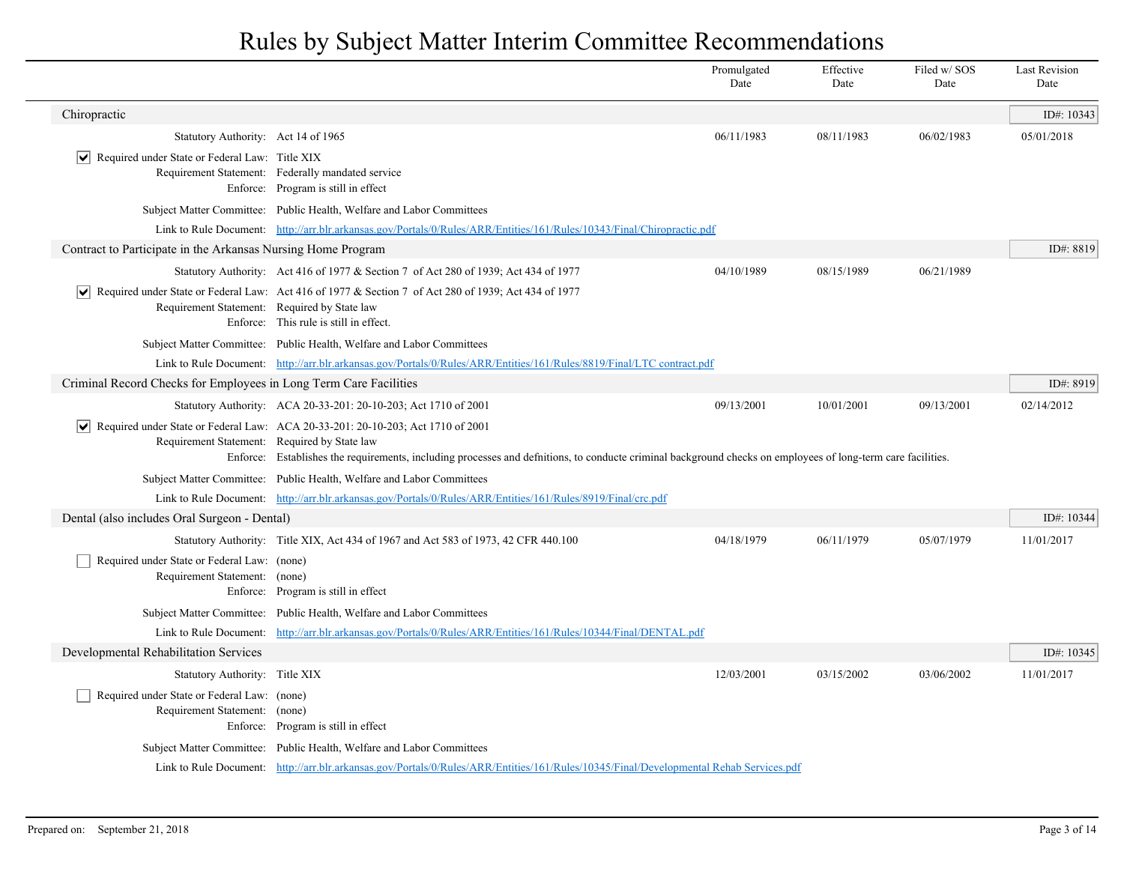|                                                                              |                                                                                                                                                                                                                                                  | Promulgated<br>Date | Effective<br>Date | Filed w/SOS<br>Date | <b>Last Revision</b><br>Date |
|------------------------------------------------------------------------------|--------------------------------------------------------------------------------------------------------------------------------------------------------------------------------------------------------------------------------------------------|---------------------|-------------------|---------------------|------------------------------|
| Chiropractic                                                                 |                                                                                                                                                                                                                                                  |                     |                   |                     | ID#: 10343                   |
| Statutory Authority: Act 14 of 1965                                          |                                                                                                                                                                                                                                                  | 06/11/1983          | 08/11/1983        | 06/02/1983          | 05/01/2018                   |
| $ \vee $ Required under State or Federal Law: Title XIX                      | Requirement Statement: Federally mandated service<br>Enforce: Program is still in effect                                                                                                                                                         |                     |                   |                     |                              |
|                                                                              | Subject Matter Committee: Public Health, Welfare and Labor Committees                                                                                                                                                                            |                     |                   |                     |                              |
|                                                                              | Link to Rule Document: http://arr.blr.arkansas.gov/Portals/0/Rules/ARR/Entities/161/Rules/10343/Final/Chiropractic.pdf                                                                                                                           |                     |                   |                     |                              |
| Contract to Participate in the Arkansas Nursing Home Program                 |                                                                                                                                                                                                                                                  |                     |                   |                     | ID#: 8819                    |
|                                                                              | Statutory Authority: Act 416 of 1977 & Section 7 of Act 280 of 1939; Act 434 of 1977                                                                                                                                                             | 04/10/1989          | 08/15/1989        | 06/21/1989          |                              |
| ∣V∣<br>Requirement Statement: Required by State law                          | Required under State or Federal Law: Act 416 of 1977 & Section 7 of Act 280 of 1939; Act 434 of 1977<br>Enforce: This rule is still in effect.                                                                                                   |                     |                   |                     |                              |
|                                                                              | Subject Matter Committee: Public Health, Welfare and Labor Committees                                                                                                                                                                            |                     |                   |                     |                              |
|                                                                              | Link to Rule Document: http://arr.blr.arkansas.gov/Portals/0/Rules/ARR/Entities/161/Rules/8819/Final/LTC contract.pdf                                                                                                                            |                     |                   |                     |                              |
| Criminal Record Checks for Employees in Long Term Care Facilities            |                                                                                                                                                                                                                                                  |                     |                   |                     | ID#: 8919                    |
|                                                                              | Statutory Authority: ACA 20-33-201: 20-10-203; Act 1710 of 2001                                                                                                                                                                                  | 09/13/2001          | 10/01/2001        | 09/13/2001          | 02/14/2012                   |
| $ \bm{\mathsf{v}} $<br>Requirement Statement: Required by State law          | Required under State or Federal Law: ACA 20-33-201: 20-10-203; Act 1710 of 2001<br>Enforce: Establishes the requirements, including processes and definitions, to conducte criminal background checks on employees of long-term care facilities. |                     |                   |                     |                              |
|                                                                              | Subject Matter Committee: Public Health, Welfare and Labor Committees                                                                                                                                                                            |                     |                   |                     |                              |
|                                                                              | Link to Rule Document: http://arr.blr.arkansas.gov/Portals/0/Rules/ARR/Entities/161/Rules/8919/Final/crc.pdf                                                                                                                                     |                     |                   |                     |                              |
| Dental (also includes Oral Surgeon - Dental)                                 |                                                                                                                                                                                                                                                  |                     |                   |                     | ID#: 10344                   |
|                                                                              | Statutory Authority: Title XIX, Act 434 of 1967 and Act 583 of 1973, 42 CFR 440.100                                                                                                                                                              | 04/18/1979          | 06/11/1979        | 05/07/1979          | 11/01/2017                   |
| Required under State or Federal Law: (none)<br>Requirement Statement: (none) | Enforce: Program is still in effect                                                                                                                                                                                                              |                     |                   |                     |                              |
|                                                                              | Subject Matter Committee: Public Health, Welfare and Labor Committees                                                                                                                                                                            |                     |                   |                     |                              |
| Link to Rule Document:                                                       | http://arr.blr.arkansas.gov/Portals/0/Rules/ARR/Entities/161/Rules/10344/Final/DENTAL.pdf                                                                                                                                                        |                     |                   |                     |                              |
| Developmental Rehabilitation Services                                        |                                                                                                                                                                                                                                                  |                     |                   |                     | ID#: 10345                   |
| Statutory Authority: Title XIX                                               |                                                                                                                                                                                                                                                  | 12/03/2001          | 03/15/2002        | 03/06/2002          | 11/01/2017                   |
| Required under State or Federal Law: (none)<br>Requirement Statement: (none) | Enforce: Program is still in effect                                                                                                                                                                                                              |                     |                   |                     |                              |
|                                                                              | Subject Matter Committee: Public Health, Welfare and Labor Committees                                                                                                                                                                            |                     |                   |                     |                              |
|                                                                              | Link to Rule Document: http://arr.blr.arkansas.gov/Portals/0/Rules/ARR/Entities/161/Rules/10345/Final/Developmental Rehab Services.pdf                                                                                                           |                     |                   |                     |                              |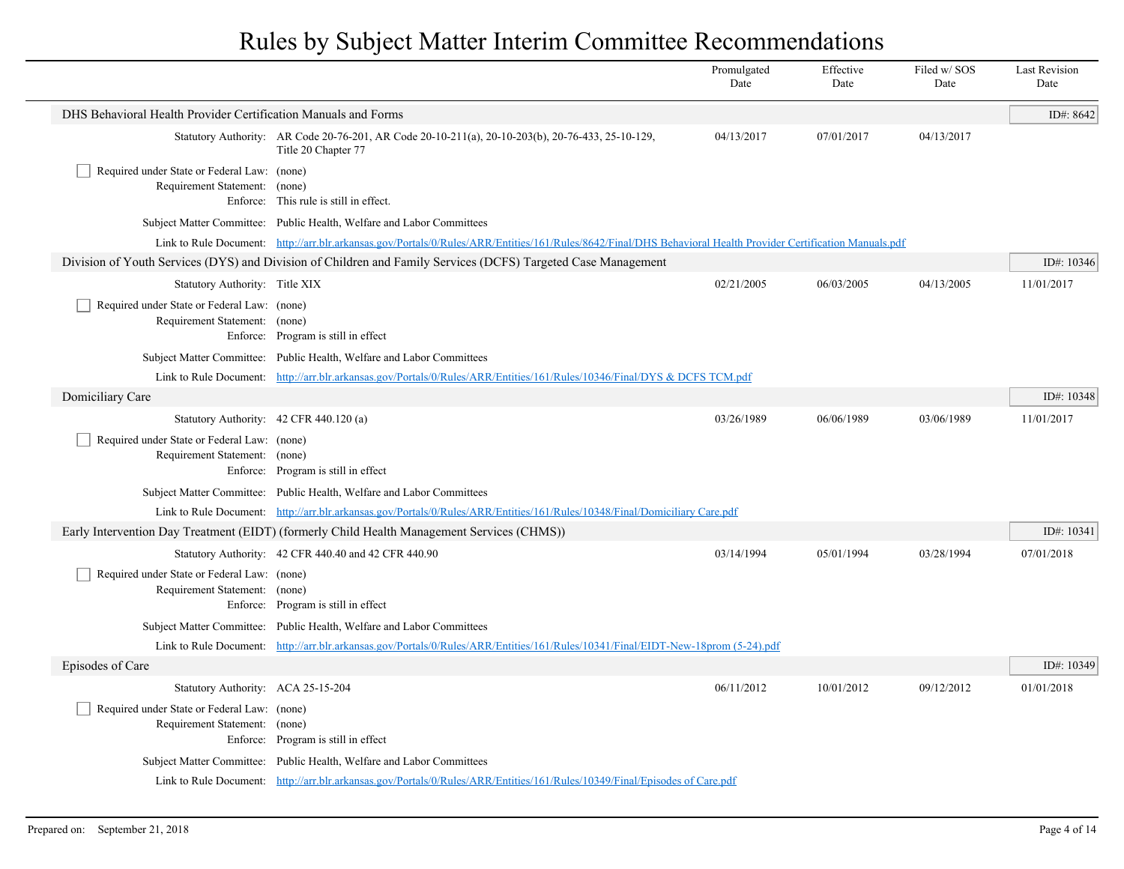|                                                                              |                                                                                                                                                               | Promulgated<br>Date | Effective<br>Date | Filed w/ SOS<br>Date | <b>Last Revision</b><br>Date |
|------------------------------------------------------------------------------|---------------------------------------------------------------------------------------------------------------------------------------------------------------|---------------------|-------------------|----------------------|------------------------------|
| DHS Behavioral Health Provider Certification Manuals and Forms               |                                                                                                                                                               |                     |                   |                      | ID#: 8642                    |
|                                                                              | Statutory Authority: AR Code 20-76-201, AR Code 20-10-211(a), 20-10-203(b), 20-76-433, 25-10-129,<br>Title 20 Chapter 77                                      | 04/13/2017          | 07/01/2017        | 04/13/2017           |                              |
| Required under State or Federal Law: (none)<br>Requirement Statement: (none) | Enforce: This rule is still in effect.                                                                                                                        |                     |                   |                      |                              |
|                                                                              | Subject Matter Committee: Public Health, Welfare and Labor Committees                                                                                         |                     |                   |                      |                              |
|                                                                              | Link to Rule Document: http://arr.blr.arkansas.gov/Portals/0/Rules/ARR/Entities/161/Rules/8642/Final/DHS Behavioral Health Provider Certification Manuals.pdf |                     |                   |                      |                              |
|                                                                              | Division of Youth Services (DYS) and Division of Children and Family Services (DCFS) Targeted Case Management                                                 |                     |                   |                      | ID#: 10346                   |
| Statutory Authority: Title XIX                                               |                                                                                                                                                               | 02/21/2005          | 06/03/2005        | 04/13/2005           | 11/01/2017                   |
| Required under State or Federal Law: (none)<br>Requirement Statement: (none) | Enforce: Program is still in effect                                                                                                                           |                     |                   |                      |                              |
|                                                                              | Subject Matter Committee: Public Health, Welfare and Labor Committees                                                                                         |                     |                   |                      |                              |
|                                                                              | Link to Rule Document: http://arr.blr.arkansas.gov/Portals/0/Rules/ARR/Entities/161/Rules/10346/Final/DYS & DCFS TCM.pdf                                      |                     |                   |                      |                              |
| Domiciliary Care                                                             |                                                                                                                                                               |                     |                   |                      | ID#: 10348                   |
|                                                                              | Statutory Authority: 42 CFR 440.120 (a)                                                                                                                       | 03/26/1989          | 06/06/1989        | 03/06/1989           | 11/01/2017                   |
| Required under State or Federal Law: (none)<br>Requirement Statement: (none) | Enforce: Program is still in effect                                                                                                                           |                     |                   |                      |                              |
|                                                                              | Subject Matter Committee: Public Health, Welfare and Labor Committees                                                                                         |                     |                   |                      |                              |
|                                                                              | Link to Rule Document: http://arr.blr.arkansas.gov/Portals/0/Rules/ARR/Entities/161/Rules/10348/Final/Domiciliary Care.pdf                                    |                     |                   |                      |                              |
|                                                                              | Early Intervention Day Treatment (EIDT) (formerly Child Health Management Services (CHMS))                                                                    |                     |                   |                      | ID#: 10341                   |
|                                                                              | Statutory Authority: 42 CFR 440.40 and 42 CFR 440.90                                                                                                          | 03/14/1994          | 05/01/1994        | 03/28/1994           | 07/01/2018                   |
| Required under State or Federal Law: (none)<br>Requirement Statement: (none) | Enforce: Program is still in effect                                                                                                                           |                     |                   |                      |                              |
|                                                                              | Subject Matter Committee: Public Health, Welfare and Labor Committees                                                                                         |                     |                   |                      |                              |
|                                                                              | Link to Rule Document: http://arr.blr.arkansas.gov/Portals/0/Rules/ARR/Entities/161/Rules/10341/Final/EIDT-New-18prom (5-24).pdf                              |                     |                   |                      |                              |
| Episodes of Care                                                             |                                                                                                                                                               |                     |                   |                      | ID#: 10349                   |
| Statutory Authority: ACA 25-15-204                                           |                                                                                                                                                               | 06/11/2012          | 10/01/2012        | 09/12/2012           | 01/01/2018                   |
| Required under State or Federal Law: (none)<br>Requirement Statement: (none) | Enforce: Program is still in effect                                                                                                                           |                     |                   |                      |                              |
|                                                                              | Subject Matter Committee: Public Health, Welfare and Labor Committees                                                                                         |                     |                   |                      |                              |
|                                                                              | Link to Rule Document: http://arr.blr.arkansas.gov/Portals/0/Rules/ARR/Entities/161/Rules/10349/Final/Episodes of Care.pdf                                    |                     |                   |                      |                              |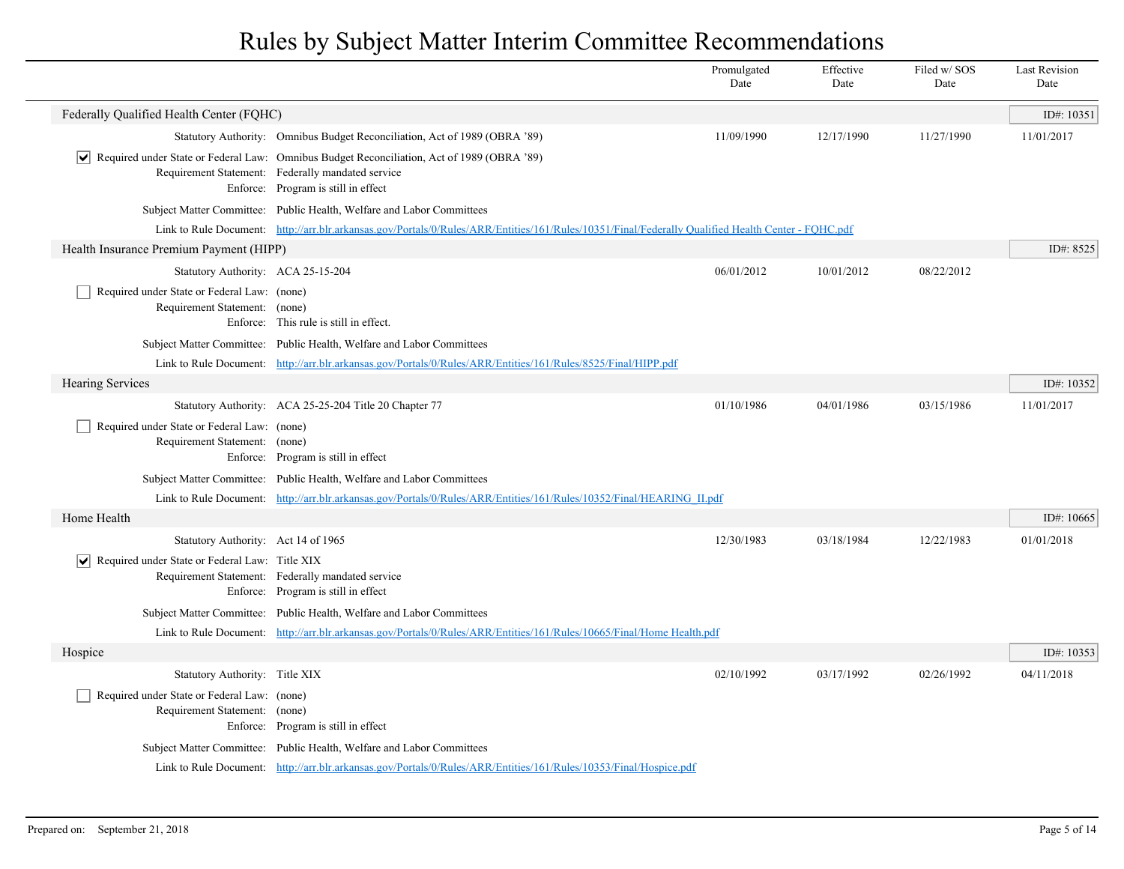|                                                                              |                                                                                                                                                                                        | Promulgated<br>Date | Effective<br>Date | Filed w/SOS<br>Date | <b>Last Revision</b><br>Date |
|------------------------------------------------------------------------------|----------------------------------------------------------------------------------------------------------------------------------------------------------------------------------------|---------------------|-------------------|---------------------|------------------------------|
| Federally Qualified Health Center (FQHC)                                     |                                                                                                                                                                                        |                     |                   |                     | ID#: $10351$                 |
|                                                                              | Statutory Authority: Omnibus Budget Reconciliation, Act of 1989 (OBRA '89)                                                                                                             | 11/09/1990          | 12/17/1990        | 11/27/1990          | 11/01/2017                   |
|                                                                              | Required under State or Federal Law: Omnibus Budget Reconciliation, Act of 1989 (OBRA '89)<br>Requirement Statement: Federally mandated service<br>Enforce: Program is still in effect |                     |                   |                     |                              |
|                                                                              | Subject Matter Committee: Public Health, Welfare and Labor Committees                                                                                                                  |                     |                   |                     |                              |
|                                                                              | Link to Rule Document: http://arr.blr.arkansas.gov/Portals/0/Rules/ARR/Entities/161/Rules/10351/Final/Federally Qualified Health Center - FQHC.pdf                                     |                     |                   |                     |                              |
| Health Insurance Premium Payment (HIPP)                                      |                                                                                                                                                                                        |                     |                   |                     | ID#: 8525                    |
| Statutory Authority: ACA 25-15-204                                           |                                                                                                                                                                                        | 06/01/2012          | 10/01/2012        | 08/22/2012          |                              |
| Required under State or Federal Law: (none)<br>Requirement Statement: (none) | Enforce: This rule is still in effect.                                                                                                                                                 |                     |                   |                     |                              |
|                                                                              | Subject Matter Committee: Public Health, Welfare and Labor Committees                                                                                                                  |                     |                   |                     |                              |
|                                                                              | Link to Rule Document: http://arr.blr.arkansas.gov/Portals/0/Rules/ARR/Entities/161/Rules/8525/Final/HIPP.pdf                                                                          |                     |                   |                     |                              |
| <b>Hearing Services</b>                                                      |                                                                                                                                                                                        |                     |                   |                     | ID#: 10352                   |
|                                                                              | Statutory Authority: ACA 25-25-204 Title 20 Chapter 77                                                                                                                                 | 01/10/1986          | 04/01/1986        | 03/15/1986          | 11/01/2017                   |
| Required under State or Federal Law: (none)<br>Requirement Statement: (none) | Enforce: Program is still in effect                                                                                                                                                    |                     |                   |                     |                              |
|                                                                              | Subject Matter Committee: Public Health, Welfare and Labor Committees                                                                                                                  |                     |                   |                     |                              |
|                                                                              | Link to Rule Document: http://arr.blr.arkansas.gov/Portals/0/Rules/ARR/Entities/161/Rules/10352/Final/HEARING II.pdf                                                                   |                     |                   |                     |                              |
| Home Health                                                                  |                                                                                                                                                                                        |                     |                   |                     | ID#: 10665                   |
| Statutory Authority: Act 14 of 1965                                          |                                                                                                                                                                                        | 12/30/1983          | 03/18/1984        | 12/22/1983          | 01/01/2018                   |
| Required under State or Federal Law: Title XIX<br>$ \bm{\mathsf{v}} $        | Requirement Statement: Federally mandated service<br>Enforce: Program is still in effect                                                                                               |                     |                   |                     |                              |
|                                                                              | Subject Matter Committee: Public Health, Welfare and Labor Committees                                                                                                                  |                     |                   |                     |                              |
|                                                                              | Link to Rule Document: http://arr.blr.arkansas.gov/Portals/0/Rules/ARR/Entities/161/Rules/10665/Final/Home Health.pdf                                                                  |                     |                   |                     |                              |
| Hospice                                                                      |                                                                                                                                                                                        |                     |                   |                     | ID#: 10353                   |
| Statutory Authority: Title XIX                                               |                                                                                                                                                                                        | 02/10/1992          | 03/17/1992        | 02/26/1992          | 04/11/2018                   |
| Required under State or Federal Law: (none)<br>Requirement Statement: (none) | Enforce: Program is still in effect                                                                                                                                                    |                     |                   |                     |                              |
|                                                                              | Subject Matter Committee: Public Health, Welfare and Labor Committees                                                                                                                  |                     |                   |                     |                              |
|                                                                              | Link to Rule Document: http://arr.blr.arkansas.gov/Portals/0/Rules/ARR/Entities/161/Rules/10353/Final/Hospice.pdf                                                                      |                     |                   |                     |                              |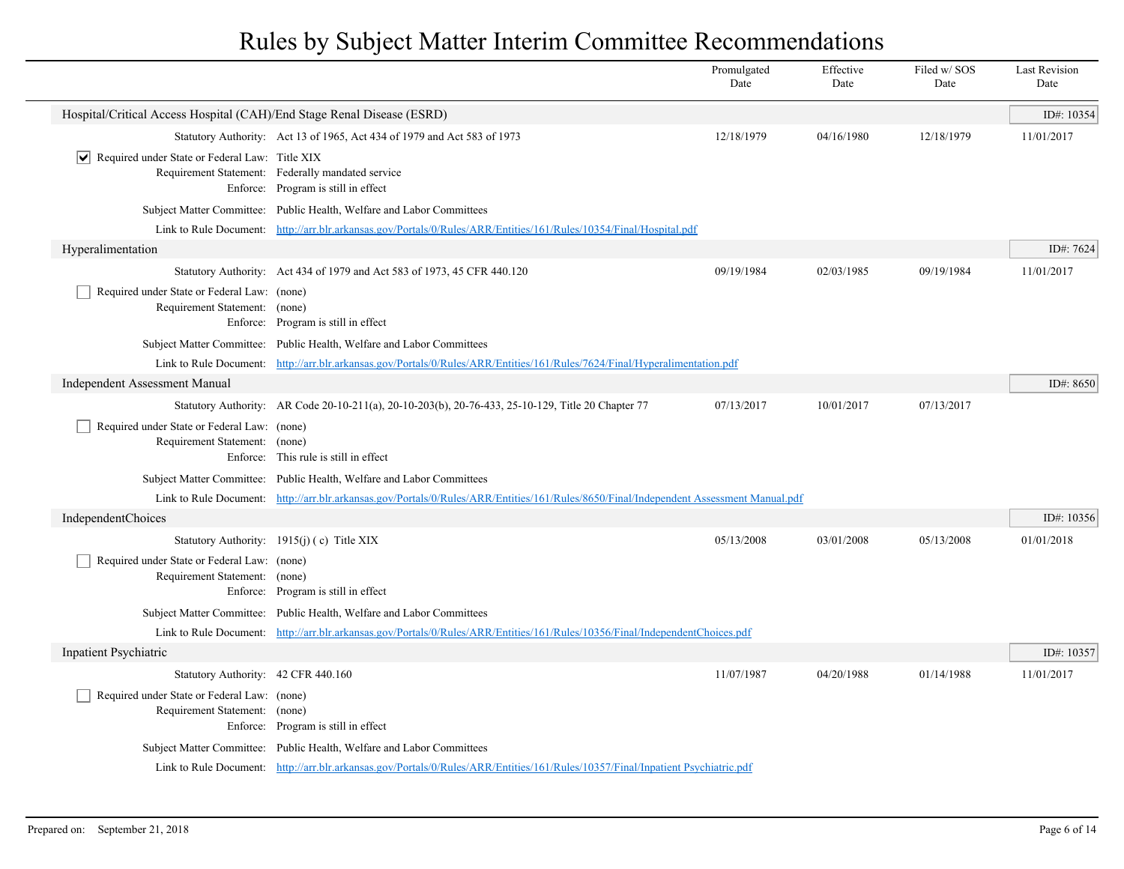|                                                                              |                                                                                                                                        | Promulgated<br>Date | Effective<br>Date | Filed w/SOS<br>Date | <b>Last Revision</b><br>Date |
|------------------------------------------------------------------------------|----------------------------------------------------------------------------------------------------------------------------------------|---------------------|-------------------|---------------------|------------------------------|
| Hospital/Critical Access Hospital (CAH)/End Stage Renal Disease (ESRD)       |                                                                                                                                        |                     |                   |                     | ID#: 10354                   |
|                                                                              | Statutory Authority: Act 13 of 1965, Act 434 of 1979 and Act 583 of 1973                                                               | 12/18/1979          | 04/16/1980        | 12/18/1979          | 11/01/2017                   |
| $ \mathbf{v} $ Required under State or Federal Law: Title XIX                | Requirement Statement: Federally mandated service<br>Enforce: Program is still in effect                                               |                     |                   |                     |                              |
|                                                                              | Subject Matter Committee: Public Health, Welfare and Labor Committees                                                                  |                     |                   |                     |                              |
|                                                                              | Link to Rule Document: http://arr.blr.arkansas.gov/Portals/0/Rules/ARR/Entities/161/Rules/10354/Final/Hospital.pdf                     |                     |                   |                     |                              |
| Hyperalimentation                                                            |                                                                                                                                        |                     |                   |                     | ID#: 7624                    |
|                                                                              | Statutory Authority: Act 434 of 1979 and Act 583 of 1973, 45 CFR 440.120                                                               | 09/19/1984          | 02/03/1985        | 09/19/1984          | 11/01/2017                   |
| Required under State or Federal Law: (none)<br>Requirement Statement: (none) | Enforce: Program is still in effect                                                                                                    |                     |                   |                     |                              |
|                                                                              | Subject Matter Committee: Public Health, Welfare and Labor Committees                                                                  |                     |                   |                     |                              |
|                                                                              | Link to Rule Document: http://arr.blr.arkansas.gov/Portals/0/Rules/ARR/Entities/161/Rules/7624/Final/Hyperalimentation.pdf             |                     |                   |                     |                              |
| <b>Independent Assessment Manual</b>                                         |                                                                                                                                        |                     |                   |                     | ID#: 8650                    |
|                                                                              | Statutory Authority: AR Code 20-10-211(a), 20-10-203(b), 20-76-433, 25-10-129, Title 20 Chapter 77                                     | 07/13/2017          | 10/01/2017        | 07/13/2017          |                              |
| Required under State or Federal Law: (none)<br>Requirement Statement: (none) | Enforce: This rule is still in effect                                                                                                  |                     |                   |                     |                              |
|                                                                              | Subject Matter Committee: Public Health, Welfare and Labor Committees                                                                  |                     |                   |                     |                              |
|                                                                              | Link to Rule Document: http://arr.blr.arkansas.gov/Portals/0/Rules/ARR/Entities/161/Rules/8650/Final/Independent Assessment Manual.pdf |                     |                   |                     |                              |
| IndependentChoices                                                           |                                                                                                                                        |                     |                   |                     | ID#: 10356                   |
|                                                                              | Statutory Authority: 1915(j) (c) Title XIX                                                                                             | 05/13/2008          | 03/01/2008        | 05/13/2008          | 01/01/2018                   |
| Required under State or Federal Law: (none)<br>Requirement Statement: (none) | Enforce: Program is still in effect                                                                                                    |                     |                   |                     |                              |
|                                                                              | Subject Matter Committee: Public Health, Welfare and Labor Committees                                                                  |                     |                   |                     |                              |
|                                                                              | Link to Rule Document: http://arr.blr.arkansas.gov/Portals/0/Rules/ARR/Entities/161/Rules/10356/Final/IndependentChoices.pdf           |                     |                   |                     |                              |
| Inpatient Psychiatric                                                        |                                                                                                                                        |                     |                   |                     | ID#: 10357                   |
| Statutory Authority: 42 CFR 440.160                                          |                                                                                                                                        | 11/07/1987          | 04/20/1988        | 01/14/1988          | 11/01/2017                   |
| Required under State or Federal Law: (none)<br>Requirement Statement: (none) | Enforce: Program is still in effect                                                                                                    |                     |                   |                     |                              |
|                                                                              | Subject Matter Committee: Public Health, Welfare and Labor Committees                                                                  |                     |                   |                     |                              |
|                                                                              | Link to Rule Document: http://arr.blr.arkansas.gov/Portals/0/Rules/ARR/Entities/161/Rules/10357/Final/Inpatient Psychiatric.pdf        |                     |                   |                     |                              |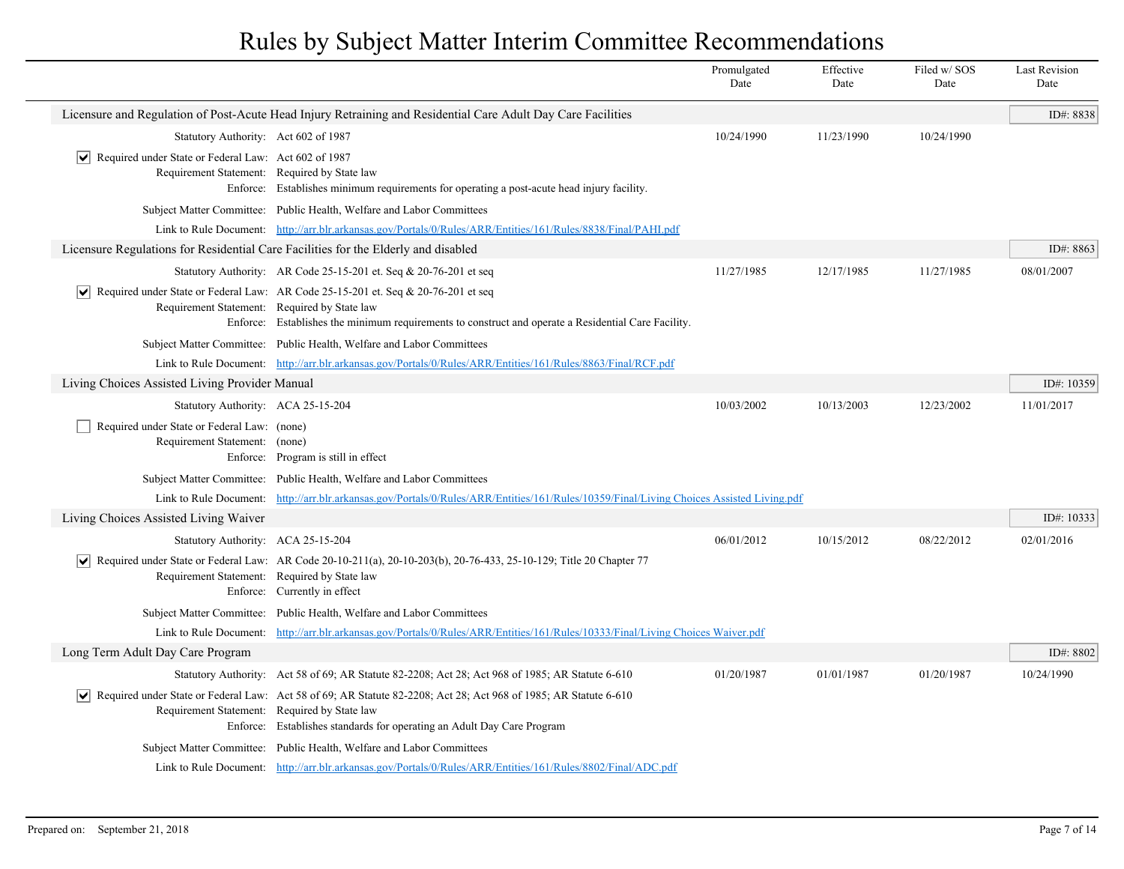|                                                                                                                     |                                                                                                                                                                                                                | Promulgated<br>Date | Effective<br>Date | Filed w/ SOS<br>Date | <b>Last Revision</b><br>Date |
|---------------------------------------------------------------------------------------------------------------------|----------------------------------------------------------------------------------------------------------------------------------------------------------------------------------------------------------------|---------------------|-------------------|----------------------|------------------------------|
|                                                                                                                     | Licensure and Regulation of Post-Acute Head Injury Retraining and Residential Care Adult Day Care Facilities                                                                                                   |                     |                   |                      | ID#: 8838                    |
| Statutory Authority: Act 602 of 1987                                                                                |                                                                                                                                                                                                                | 10/24/1990          | 11/23/1990        | 10/24/1990           |                              |
| $ \mathbf{v} $ Required under State or Federal Law: Act 602 of 1987<br>Requirement Statement: Required by State law | Enforce: Establishes minimum requirements for operating a post-acute head injury facility.                                                                                                                     |                     |                   |                      |                              |
|                                                                                                                     | Subject Matter Committee: Public Health, Welfare and Labor Committees                                                                                                                                          |                     |                   |                      |                              |
|                                                                                                                     | Link to Rule Document: http://arr.blr.arkansas.gov/Portals/0/Rules/ARR/Entities/161/Rules/8838/Final/PAHI.pdf                                                                                                  |                     |                   |                      |                              |
|                                                                                                                     | Licensure Regulations for Residential Care Facilities for the Elderly and disabled                                                                                                                             |                     |                   |                      | ID#: 8863                    |
|                                                                                                                     | Statutory Authority: AR Code 25-15-201 et. Seq $& 20-76-201$ et seq                                                                                                                                            | 11/27/1985          | 12/17/1985        | 11/27/1985           | 08/01/2007                   |
| Requirement Statement: Required by State law                                                                        | $\blacktriangleright$ Required under State or Federal Law: AR Code 25-15-201 et. Seq & 20-76-201 et seq<br>Enforce: Establishes the minimum requirements to construct and operate a Residential Care Facility. |                     |                   |                      |                              |
|                                                                                                                     | Subject Matter Committee: Public Health, Welfare and Labor Committees                                                                                                                                          |                     |                   |                      |                              |
|                                                                                                                     | Link to Rule Document: http://arr.blr.arkansas.gov/Portals/0/Rules/ARR/Entities/161/Rules/8863/Final/RCF.pdf                                                                                                   |                     |                   |                      |                              |
| Living Choices Assisted Living Provider Manual                                                                      |                                                                                                                                                                                                                |                     |                   |                      | ID#: 10359                   |
| Statutory Authority: ACA 25-15-204                                                                                  |                                                                                                                                                                                                                | 10/03/2002          | 10/13/2003        | 12/23/2002           | 11/01/2017                   |
| Required under State or Federal Law: (none)<br>Requirement Statement: (none)                                        | Enforce: Program is still in effect                                                                                                                                                                            |                     |                   |                      |                              |
|                                                                                                                     | Subject Matter Committee: Public Health, Welfare and Labor Committees                                                                                                                                          |                     |                   |                      |                              |
|                                                                                                                     | Link to Rule Document: http://arr.blr.arkansas.gov/Portals/0/Rules/ARR/Entities/161/Rules/10359/Final/Living Choices Assisted Living.pdf                                                                       |                     |                   |                      |                              |
| Living Choices Assisted Living Waiver                                                                               |                                                                                                                                                                                                                |                     |                   |                      | ID#: 10333                   |
| Statutory Authority: ACA 25-15-204                                                                                  |                                                                                                                                                                                                                | 06/01/2012          | 10/15/2012        | 08/22/2012           | 02/01/2016                   |
| Requirement Statement: Required by State law                                                                        | $\blacktriangleright$ Required under State or Federal Law: AR Code 20-10-211(a), 20-10-203(b), 20-76-433, 25-10-129; Title 20 Chapter 77<br>Enforce: Currently in effect                                       |                     |                   |                      |                              |
|                                                                                                                     | Subject Matter Committee: Public Health, Welfare and Labor Committees                                                                                                                                          |                     |                   |                      |                              |
|                                                                                                                     | Link to Rule Document: http://arr.blr.arkansas.gov/Portals/0/Rules/ARR/Entities/161/Rules/10333/Final/Living Choices Waiver.pdf                                                                                |                     |                   |                      |                              |
| Long Term Adult Day Care Program                                                                                    |                                                                                                                                                                                                                |                     |                   |                      | ID#: 8802                    |
|                                                                                                                     | Statutory Authority: Act 58 of 69; AR Statute 82-2208; Act 28; Act 968 of 1985; AR Statute 6-610                                                                                                               | 01/20/1987          | 01/01/1987        | 01/20/1987           | 10/24/1990                   |
| Requirement Statement: Required by State law                                                                        | Required under State or Federal Law: Act 58 of 69; AR Statute 82-2208; Act 28; Act 968 of 1985; AR Statute 6-610<br>Enforce: Establishes standards for operating an Adult Day Care Program                     |                     |                   |                      |                              |
|                                                                                                                     | Subject Matter Committee: Public Health, Welfare and Labor Committees                                                                                                                                          |                     |                   |                      |                              |
|                                                                                                                     | Link to Rule Document: http://arr.blr.arkansas.gov/Portals/0/Rules/ARR/Entities/161/Rules/8802/Final/ADC.pdf                                                                                                   |                     |                   |                      |                              |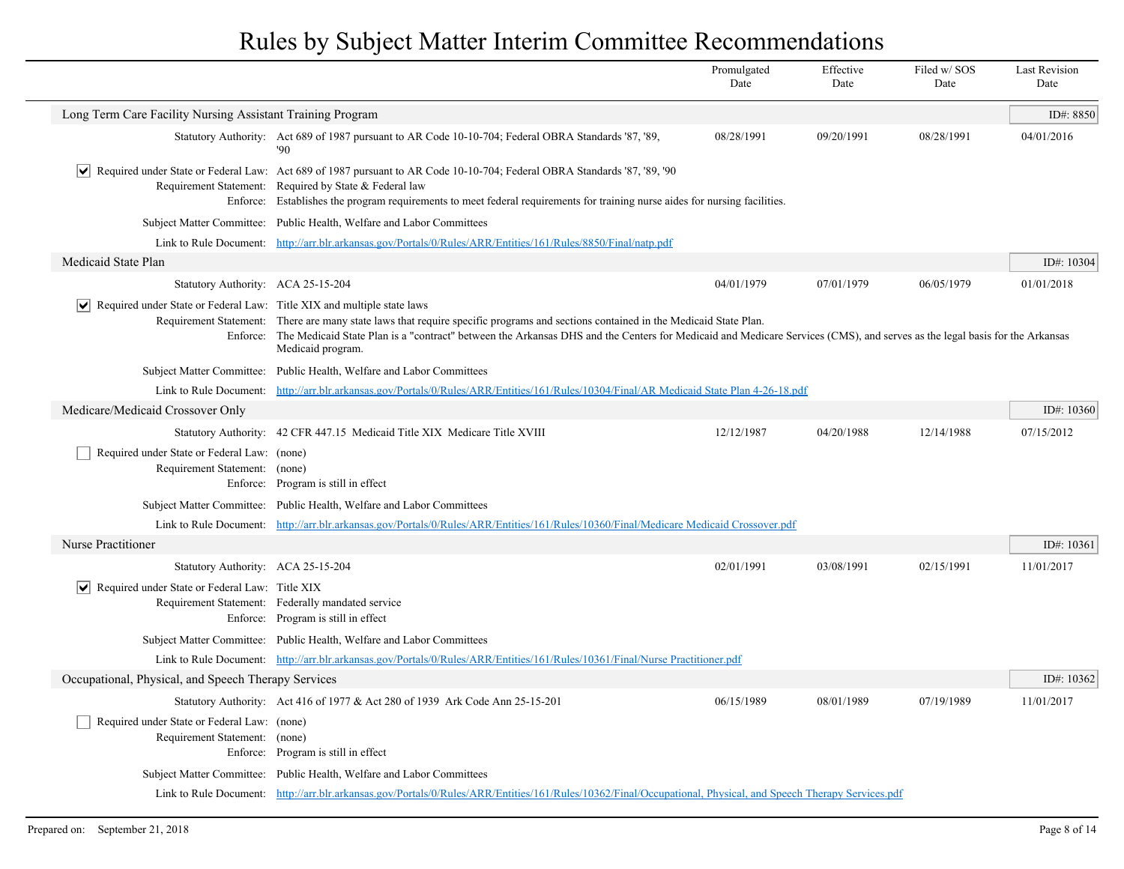|                                                                                       |                                                                                                                                                                                                                                                                                                                                               | Promulgated<br>Date | Effective<br>Date | Filed w/ SOS<br>Date | <b>Last Revision</b><br>Date |
|---------------------------------------------------------------------------------------|-----------------------------------------------------------------------------------------------------------------------------------------------------------------------------------------------------------------------------------------------------------------------------------------------------------------------------------------------|---------------------|-------------------|----------------------|------------------------------|
| Long Term Care Facility Nursing Assistant Training Program                            |                                                                                                                                                                                                                                                                                                                                               |                     |                   |                      | ID#: 8850                    |
|                                                                                       | Statutory Authority: Act 689 of 1987 pursuant to AR Code 10-10-704; Federal OBRA Standards '87, '89,<br>$90^{\circ}$                                                                                                                                                                                                                          | 08/28/1991          | 09/20/1991        | 08/28/1991           | 04/01/2016                   |
| $ \bm{\mathsf{v}} $                                                                   | Required under State or Federal Law: Act 689 of 1987 pursuant to AR Code 10-10-704; Federal OBRA Standards '87, '89, '90<br>Requirement Statement: Required by State & Federal law<br>Enforce: Establishes the program requirements to meet federal requirements for training nurse aides for nursing facilities.                             |                     |                   |                      |                              |
|                                                                                       | Subject Matter Committee: Public Health, Welfare and Labor Committees                                                                                                                                                                                                                                                                         |                     |                   |                      |                              |
|                                                                                       | Link to Rule Document: http://arr.blr.arkansas.gov/Portals/0/Rules/ARR/Entities/161/Rules/8850/Final/natp.pdf                                                                                                                                                                                                                                 |                     |                   |                      |                              |
| Medicaid State Plan                                                                   |                                                                                                                                                                                                                                                                                                                                               |                     |                   |                      | ID#: 10304                   |
| Statutory Authority: ACA 25-15-204                                                    |                                                                                                                                                                                                                                                                                                                                               | 04/01/1979          | 07/01/1979        | 06/05/1979           | 01/01/2018                   |
| $ \mathbf{v} $ Required under State or Federal Law: Title XIX and multiple state laws | Requirement Statement: There are many state laws that require specific programs and sections contained in the Medicaid State Plan.<br>Enforce: The Medicaid State Plan is a "contract" between the Arkansas DHS and the Centers for Medicaid and Medicare Services (CMS), and serves as the legal basis for the Arkansas<br>Medicaid program. |                     |                   |                      |                              |
|                                                                                       | Subject Matter Committee: Public Health, Welfare and Labor Committees                                                                                                                                                                                                                                                                         |                     |                   |                      |                              |
|                                                                                       | Link to Rule Document: http://arr.blr.arkansas.gov/Portals/0/Rules/ARR/Entities/161/Rules/10304/Final/AR Medicaid State Plan 4-26-18.pdf                                                                                                                                                                                                      |                     |                   |                      |                              |
| Medicare/Medicaid Crossover Only                                                      |                                                                                                                                                                                                                                                                                                                                               |                     |                   |                      | ID#: 10360                   |
|                                                                                       | Statutory Authority: 42 CFR 447.15 Medicaid Title XIX Medicare Title XVIII                                                                                                                                                                                                                                                                    | 12/12/1987          | 04/20/1988        | 12/14/1988           | 07/15/2012                   |
| Required under State or Federal Law: (none)<br>Requirement Statement: (none)          | Enforce: Program is still in effect                                                                                                                                                                                                                                                                                                           |                     |                   |                      |                              |
|                                                                                       | Subject Matter Committee: Public Health, Welfare and Labor Committees                                                                                                                                                                                                                                                                         |                     |                   |                      |                              |
| Link to Rule Document:                                                                | http://arr.blr.arkansas.gov/Portals/0/Rules/ARR/Entities/161/Rules/10360/Final/Medicare Medicaid Crossover.pdf                                                                                                                                                                                                                                |                     |                   |                      |                              |
| <b>Nurse Practitioner</b>                                                             |                                                                                                                                                                                                                                                                                                                                               |                     |                   |                      | ID#: 10361                   |
| Statutory Authority: ACA 25-15-204                                                    |                                                                                                                                                                                                                                                                                                                                               | 02/01/1991          | 03/08/1991        | 02/15/1991           | 11/01/2017                   |
| $ \mathbf{v} $ Required under State or Federal Law: Title XIX                         | Requirement Statement: Federally mandated service<br>Enforce: Program is still in effect                                                                                                                                                                                                                                                      |                     |                   |                      |                              |
|                                                                                       | Subject Matter Committee: Public Health, Welfare and Labor Committees                                                                                                                                                                                                                                                                         |                     |                   |                      |                              |
|                                                                                       | Link to Rule Document: http://arr.blr.arkansas.gov/Portals/0/Rules/ARR/Entities/161/Rules/10361/Final/Nurse Practitioner.pdf                                                                                                                                                                                                                  |                     |                   |                      |                              |
| Occupational, Physical, and Speech Therapy Services                                   |                                                                                                                                                                                                                                                                                                                                               |                     |                   |                      | ID#: $10362$                 |
|                                                                                       | Statutory Authority: Act 416 of 1977 & Act 280 of 1939 Ark Code Ann 25-15-201                                                                                                                                                                                                                                                                 | 06/15/1989          | 08/01/1989        | 07/19/1989           | 11/01/2017                   |
| Required under State or Federal Law: (none)<br>Requirement Statement:                 | (none)<br>Enforce: Program is still in effect                                                                                                                                                                                                                                                                                                 |                     |                   |                      |                              |
|                                                                                       | Subject Matter Committee: Public Health, Welfare and Labor Committees                                                                                                                                                                                                                                                                         |                     |                   |                      |                              |
|                                                                                       | Link to Rule Document: http://arr.blr.arkansas.gov/Portals/0/Rules/ARR/Entities/161/Rules/10362/Final/Occupational, Physical, and Speech Therapy Services.pdf                                                                                                                                                                                 |                     |                   |                      |                              |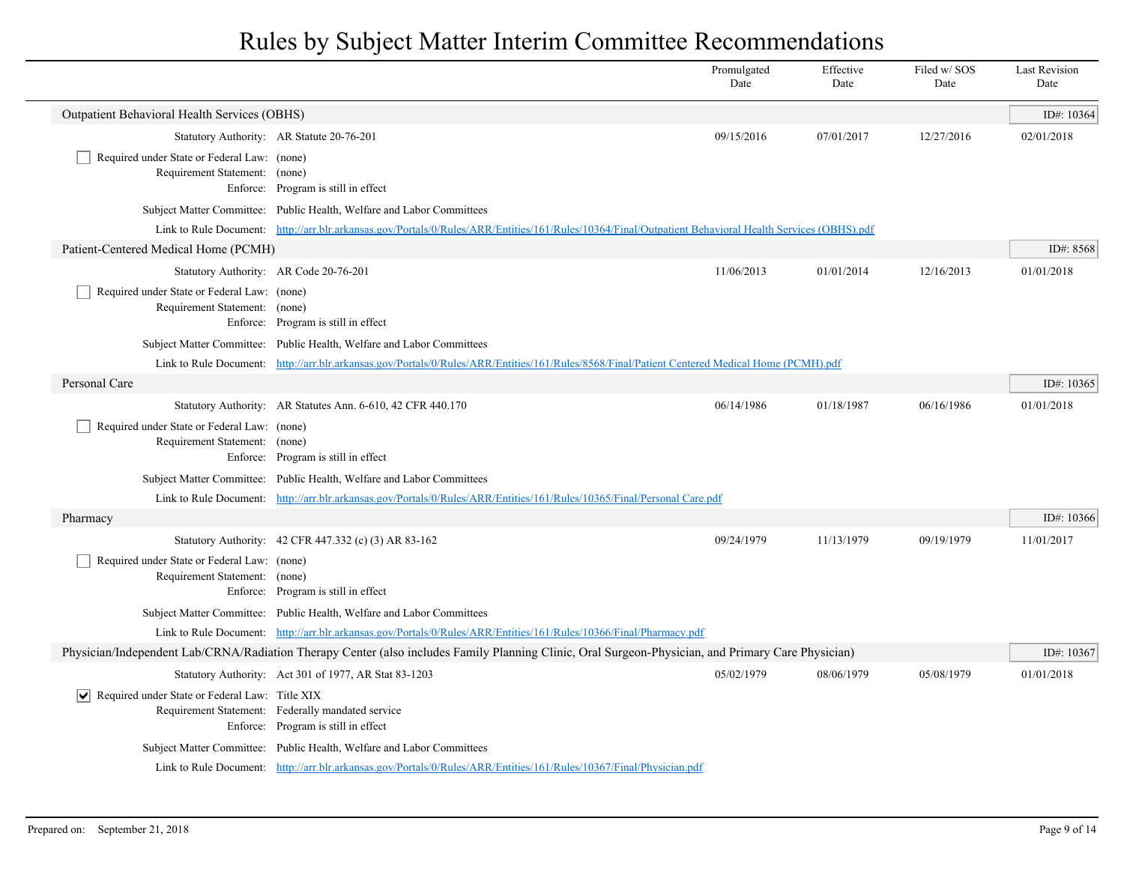|                                                                              |                                                                                                                                                        | Promulgated<br>Date | Effective<br>Date | Filed w/SOS<br>Date | <b>Last Revision</b><br>Date |
|------------------------------------------------------------------------------|--------------------------------------------------------------------------------------------------------------------------------------------------------|---------------------|-------------------|---------------------|------------------------------|
| Outpatient Behavioral Health Services (OBHS)                                 |                                                                                                                                                        |                     |                   |                     | ID#: 10364                   |
|                                                                              | Statutory Authority: AR Statute 20-76-201                                                                                                              | 09/15/2016          | 07/01/2017        | 12/27/2016          | 02/01/2018                   |
| Required under State or Federal Law: (none)<br>Requirement Statement: (none) |                                                                                                                                                        |                     |                   |                     |                              |
|                                                                              | Enforce: Program is still in effect                                                                                                                    |                     |                   |                     |                              |
|                                                                              | Subject Matter Committee: Public Health, Welfare and Labor Committees                                                                                  |                     |                   |                     |                              |
|                                                                              | Link to Rule Document: http://arr.blr.arkansas.gov/Portals/0/Rules/ARR/Entities/161/Rules/10364/Final/Outpatient Behavioral Health Services (OBHS).pdf |                     |                   |                     |                              |
| Patient-Centered Medical Home (PCMH)                                         |                                                                                                                                                        |                     |                   |                     | ID#: 8568                    |
|                                                                              | Statutory Authority: AR Code 20-76-201                                                                                                                 | 11/06/2013          | 01/01/2014        | 12/16/2013          | 01/01/2018                   |
| Required under State or Federal Law: (none)<br>Requirement Statement: (none) | Enforce: Program is still in effect                                                                                                                    |                     |                   |                     |                              |
|                                                                              | Subject Matter Committee: Public Health, Welfare and Labor Committees                                                                                  |                     |                   |                     |                              |
|                                                                              | Link to Rule Document: http://arr.blr.arkansas.gov/Portals/0/Rules/ARR/Entities/161/Rules/8568/Final/Patient Centered Medical Home (PCMH).pdf          |                     |                   |                     |                              |
| Personal Care                                                                |                                                                                                                                                        |                     |                   |                     | ID#: 10365                   |
|                                                                              | Statutory Authority: AR Statutes Ann. 6-610, 42 CFR 440.170                                                                                            | 06/14/1986          | 01/18/1987        | 06/16/1986          | 01/01/2018                   |
| Required under State or Federal Law: (none)<br>Requirement Statement: (none) | Enforce: Program is still in effect                                                                                                                    |                     |                   |                     |                              |
|                                                                              | Subject Matter Committee: Public Health, Welfare and Labor Committees                                                                                  |                     |                   |                     |                              |
|                                                                              | Link to Rule Document: http://arr.blr.arkansas.gov/Portals/0/Rules/ARR/Entities/161/Rules/10365/Final/Personal Care.pdf                                |                     |                   |                     |                              |
| Pharmacy                                                                     |                                                                                                                                                        |                     |                   |                     | ID#: $10366$                 |
|                                                                              | Statutory Authority: 42 CFR 447.332 (c) (3) AR 83-162                                                                                                  | 09/24/1979          | 11/13/1979        | 09/19/1979          | 11/01/2017                   |
| Required under State or Federal Law: (none)<br>Requirement Statement: (none) | Enforce: Program is still in effect                                                                                                                    |                     |                   |                     |                              |
|                                                                              | Subject Matter Committee: Public Health, Welfare and Labor Committees                                                                                  |                     |                   |                     |                              |
|                                                                              | Link to Rule Document: http://arr.blr.arkansas.gov/Portals/0/Rules/ARR/Entities/161/Rules/10366/Final/Pharmacy.pdf                                     |                     |                   |                     |                              |
|                                                                              | Physician/Independent Lab/CRNA/Radiation Therapy Center (also includes Family Planning Clinic, Oral Surgeon-Physician, and Primary Care Physician)     |                     |                   |                     | ID#: 10367                   |
|                                                                              | Statutory Authority: Act 301 of 1977, AR Stat 83-1203                                                                                                  | 05/02/1979          | 08/06/1979        | 05/08/1979          | 01/01/2018                   |
| $ \mathbf{v} $ Required under State or Federal Law: Title XIX                |                                                                                                                                                        |                     |                   |                     |                              |
|                                                                              | Requirement Statement: Federally mandated service<br>Enforce: Program is still in effect                                                               |                     |                   |                     |                              |
|                                                                              | Subject Matter Committee: Public Health, Welfare and Labor Committees                                                                                  |                     |                   |                     |                              |
|                                                                              | Link to Rule Document: http://arr.blr.arkansas.gov/Portals/0/Rules/ARR/Entities/161/Rules/10367/Final/Physician.pdf                                    |                     |                   |                     |                              |
|                                                                              |                                                                                                                                                        |                     |                   |                     |                              |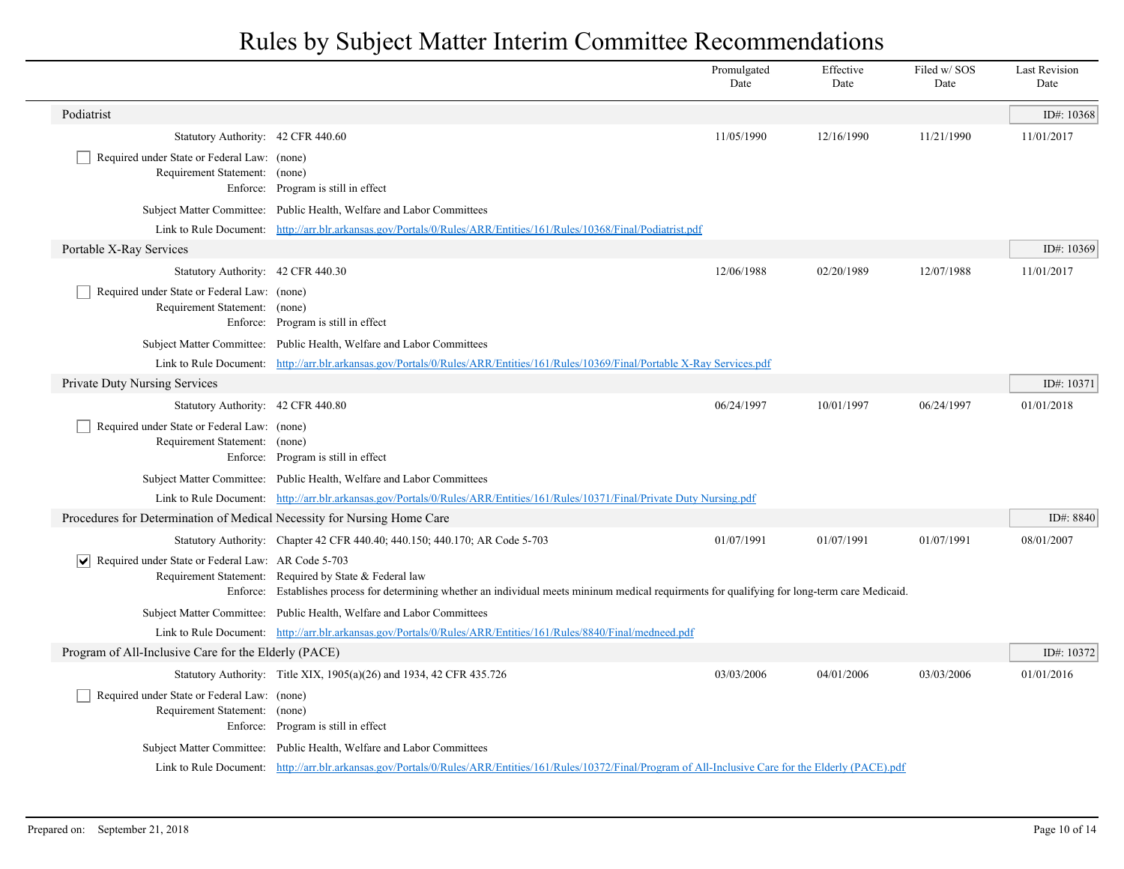|                                                                              |                                                                                                                                                                                                            | Promulgated<br>Date | Effective<br>Date | Filed w/SOS<br>Date | <b>Last Revision</b><br>Date |
|------------------------------------------------------------------------------|------------------------------------------------------------------------------------------------------------------------------------------------------------------------------------------------------------|---------------------|-------------------|---------------------|------------------------------|
| Podiatrist                                                                   |                                                                                                                                                                                                            |                     |                   |                     | ID#: 10368                   |
| Statutory Authority: 42 CFR 440.60                                           |                                                                                                                                                                                                            | 11/05/1990          | 12/16/1990        | 11/21/1990          | 11/01/2017                   |
| Required under State or Federal Law: (none)<br>Requirement Statement: (none) | Enforce: Program is still in effect                                                                                                                                                                        |                     |                   |                     |                              |
|                                                                              | Subject Matter Committee: Public Health, Welfare and Labor Committees                                                                                                                                      |                     |                   |                     |                              |
|                                                                              | Link to Rule Document: http://arr.blr.arkansas.gov/Portals/0/Rules/ARR/Entities/161/Rules/10368/Final/Podiatrist.pdf                                                                                       |                     |                   |                     |                              |
| Portable X-Ray Services                                                      |                                                                                                                                                                                                            |                     |                   |                     | ID#: 10369                   |
| Statutory Authority: 42 CFR 440.30                                           |                                                                                                                                                                                                            | 12/06/1988          | 02/20/1989        | 12/07/1988          | 11/01/2017                   |
| Required under State or Federal Law: (none)<br>Requirement Statement: (none) | Enforce: Program is still in effect                                                                                                                                                                        |                     |                   |                     |                              |
|                                                                              | Subject Matter Committee: Public Health, Welfare and Labor Committees                                                                                                                                      |                     |                   |                     |                              |
|                                                                              | Link to Rule Document: http://arr.blr.arkansas.gov/Portals/0/Rules/ARR/Entities/161/Rules/10369/Final/Portable X-Ray Services.pdf                                                                          |                     |                   |                     |                              |
| Private Duty Nursing Services                                                |                                                                                                                                                                                                            |                     |                   |                     | ID#: $10371$                 |
| Statutory Authority: 42 CFR 440.80                                           |                                                                                                                                                                                                            | 06/24/1997          | 10/01/1997        | 06/24/1997          | 01/01/2018                   |
| Required under State or Federal Law: (none)<br>Requirement Statement: (none) | Enforce: Program is still in effect                                                                                                                                                                        |                     |                   |                     |                              |
|                                                                              | Subject Matter Committee: Public Health, Welfare and Labor Committees                                                                                                                                      |                     |                   |                     |                              |
|                                                                              | Link to Rule Document: http://arr.blr.arkansas.gov/Portals/0/Rules/ARR/Entities/161/Rules/10371/Final/Private Duty Nursing.pdf                                                                             |                     |                   |                     |                              |
| Procedures for Determination of Medical Necessity for Nursing Home Care      |                                                                                                                                                                                                            |                     |                   |                     | ID#: 8840                    |
|                                                                              | Statutory Authority: Chapter 42 CFR 440.40; 440.150; 440.170; AR Code 5-703                                                                                                                                | 01/07/1991          | 01/07/1991        | 01/07/1991          | 08/01/2007                   |
| $ \mathbf{v} $ Required under State or Federal Law: AR Code 5-703            | Requirement Statement: Required by State & Federal law<br>Enforce: Establishes process for determining whether an individual meets mininum medical requirments for qualifying for long-term care Medicaid. |                     |                   |                     |                              |
|                                                                              | Subject Matter Committee: Public Health, Welfare and Labor Committees                                                                                                                                      |                     |                   |                     |                              |
|                                                                              | Link to Rule Document: http://arr.blr.arkansas.gov/Portals/0/Rules/ARR/Entities/161/Rules/8840/Final/medneed.pdf                                                                                           |                     |                   |                     |                              |
| Program of All-Inclusive Care for the Elderly (PACE)                         |                                                                                                                                                                                                            |                     |                   |                     | ID#: 10372                   |
|                                                                              | Statutory Authority: Title XIX, 1905(a)(26) and 1934, 42 CFR 435.726                                                                                                                                       | 03/03/2006          | 04/01/2006        | 03/03/2006          | 01/01/2016                   |
| Required under State or Federal Law: (none)<br>Requirement Statement: (none) | Enforce: Program is still in effect                                                                                                                                                                        |                     |                   |                     |                              |
|                                                                              | Subject Matter Committee: Public Health, Welfare and Labor Committees                                                                                                                                      |                     |                   |                     |                              |
|                                                                              | Link to Rule Document: http://arr.blr.arkansas.gov/Portals/0/Rules/ARR/Entities/161/Rules/10372/Final/Program of All-Inclusive Care for the Elderly (PACE).pdf                                             |                     |                   |                     |                              |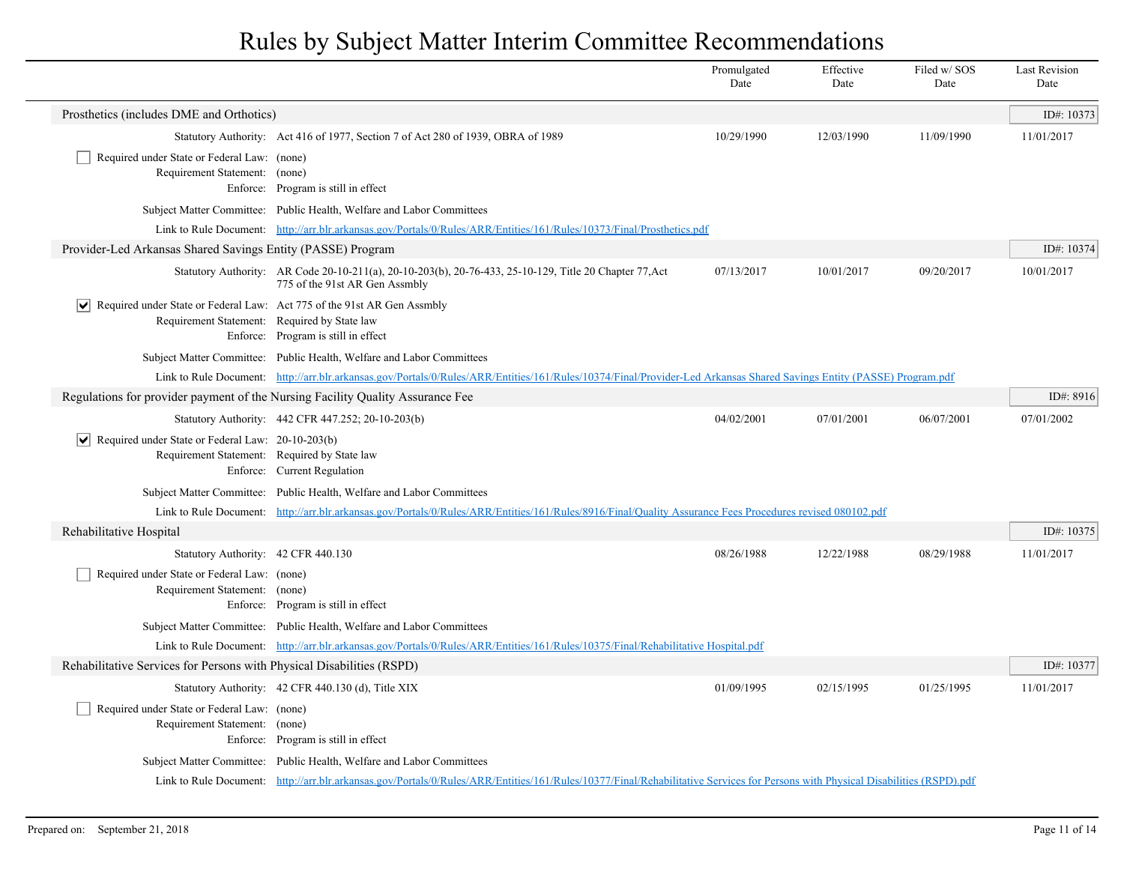|                                                                                                                                        |                                                                                                                                                                                 | Promulgated<br>Date | Effective<br>Date | Filed w/SOS<br>Date | <b>Last Revision</b><br>Date |
|----------------------------------------------------------------------------------------------------------------------------------------|---------------------------------------------------------------------------------------------------------------------------------------------------------------------------------|---------------------|-------------------|---------------------|------------------------------|
| Prosthetics (includes DME and Orthotics)                                                                                               |                                                                                                                                                                                 |                     |                   |                     | ID#: 10373                   |
|                                                                                                                                        | Statutory Authority: Act 416 of 1977, Section 7 of Act 280 of 1939, OBRA of 1989                                                                                                | 10/29/1990          | 12/03/1990        | 11/09/1990          | 11/01/2017                   |
| Required under State or Federal Law: (none)<br>Requirement Statement: (none)                                                           | Enforce: Program is still in effect                                                                                                                                             |                     |                   |                     |                              |
|                                                                                                                                        | Subject Matter Committee: Public Health, Welfare and Labor Committees                                                                                                           |                     |                   |                     |                              |
|                                                                                                                                        | Link to Rule Document: http://arr.blr.arkansas.gov/Portals/0/Rules/ARR/Entities/161/Rules/10373/Final/Prosthetics.pdf                                                           |                     |                   |                     |                              |
| Provider-Led Arkansas Shared Savings Entity (PASSE) Program                                                                            |                                                                                                                                                                                 |                     |                   |                     | ID#: 10374                   |
|                                                                                                                                        | Statutory Authority: AR Code 20-10-211(a), 20-10-203(b), 20-76-433, 25-10-129, Title 20 Chapter 77, Act<br>775 of the 91st AR Gen Assmbly                                       | 07/13/2017          | 10/01/2017        | 09/20/2017          | 10/01/2017                   |
| $ \mathbf{v} $ Required under State or Federal Law: Act 775 of the 91st AR Gen Assmbly<br>Requirement Statement: Required by State law | Enforce: Program is still in effect                                                                                                                                             |                     |                   |                     |                              |
|                                                                                                                                        | Subject Matter Committee: Public Health, Welfare and Labor Committees                                                                                                           |                     |                   |                     |                              |
|                                                                                                                                        | Link to Rule Document: http://arr.blr.arkansas.gov/Portals/0/Rules/ARR/Entities/161/Rules/10374/Final/Provider-Led Arkansas Shared Savings Entity (PASSE) Program.pdf           |                     |                   |                     |                              |
| Regulations for provider payment of the Nursing Facility Quality Assurance Fee                                                         |                                                                                                                                                                                 |                     |                   |                     | ID#: $8916$                  |
|                                                                                                                                        | Statutory Authority: 442 CFR 447.252; 20-10-203(b)                                                                                                                              | 04/02/2001          | 07/01/2001        | 06/07/2001          | 07/01/2002                   |
| Required under State or Federal Law: $20-10-203(b)$<br>Requirement Statement: Required by State law                                    | Enforce: Current Regulation                                                                                                                                                     |                     |                   |                     |                              |
|                                                                                                                                        | Subject Matter Committee: Public Health, Welfare and Labor Committees                                                                                                           |                     |                   |                     |                              |
|                                                                                                                                        | Link to Rule Document: http://arr.blr.arkansas.gov/Portals/0/Rules/ARR/Entities/161/Rules/8916/Final/Quality Assurance Fees Procedures revised 080102.pdf                       |                     |                   |                     |                              |
| Rehabilitative Hospital                                                                                                                |                                                                                                                                                                                 |                     |                   |                     | ID#: 10375                   |
| Statutory Authority: 42 CFR 440.130                                                                                                    |                                                                                                                                                                                 | 08/26/1988          | 12/22/1988        | 08/29/1988          | 11/01/2017                   |
| Required under State or Federal Law: (none)<br>Requirement Statement: (none)                                                           | Enforce: Program is still in effect                                                                                                                                             |                     |                   |                     |                              |
|                                                                                                                                        | Subject Matter Committee: Public Health, Welfare and Labor Committees                                                                                                           |                     |                   |                     |                              |
|                                                                                                                                        | Link to Rule Document: http://arr.blr.arkansas.gov/Portals/0/Rules/ARR/Entities/161/Rules/10375/Final/Rehabilitative Hospital.pdf                                               |                     |                   |                     |                              |
| Rehabilitative Services for Persons with Physical Disabilities (RSPD)                                                                  |                                                                                                                                                                                 |                     |                   |                     | ID#: 10377                   |
|                                                                                                                                        | Statutory Authority: 42 CFR 440.130 (d), Title XIX                                                                                                                              | 01/09/1995          | 02/15/1995        | 01/25/1995          | 11/01/2017                   |
| Required under State or Federal Law: (none)<br>Requirement Statement: (none)                                                           | Enforce: Program is still in effect                                                                                                                                             |                     |                   |                     |                              |
|                                                                                                                                        | Subject Matter Committee: Public Health, Welfare and Labor Committees                                                                                                           |                     |                   |                     |                              |
|                                                                                                                                        | Link to Rule Document: http://arr.blr.arkansas.gov/Portals/0/Rules/ARR/Entities/161/Rules/10377/Final/Rehabilitative Services for Persons with Physical Disabilities (RSPD).pdf |                     |                   |                     |                              |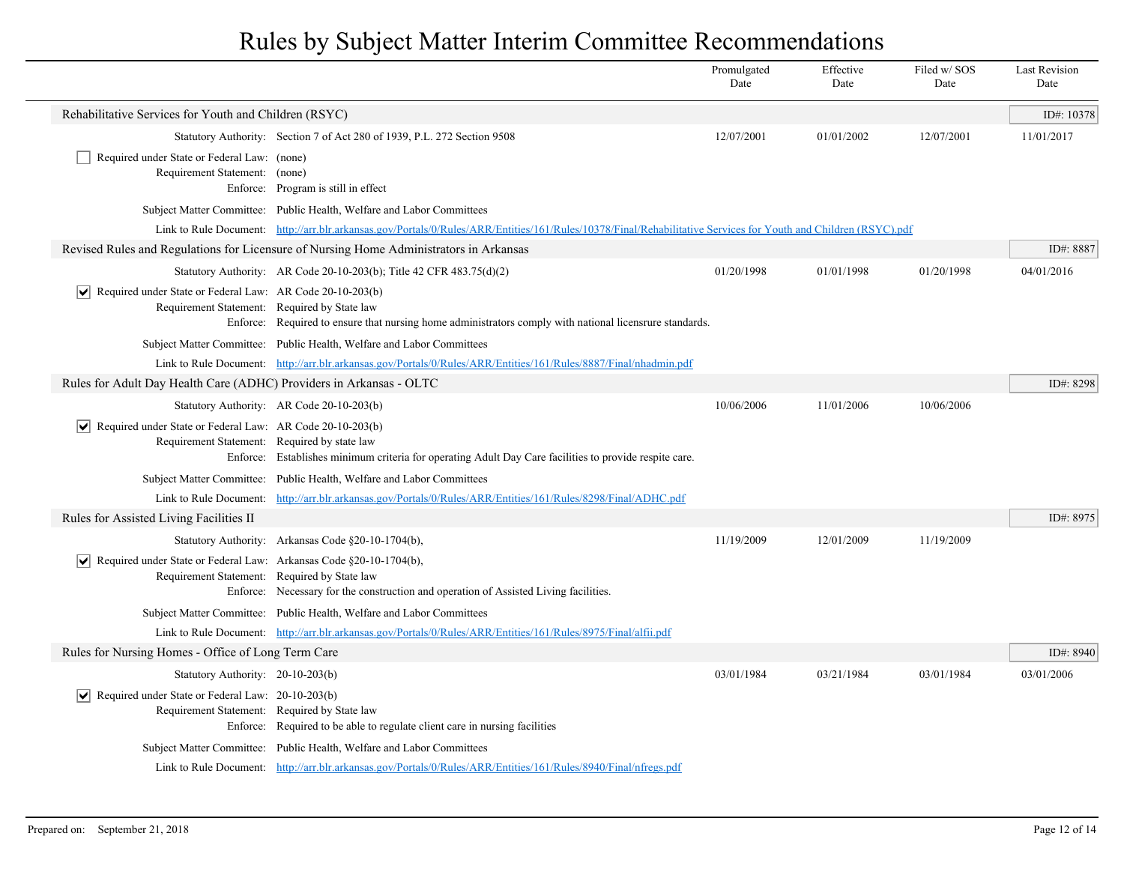|                                                                                         |                                                                                                                                                                 | Promulgated<br>Date | Effective<br>Date | Filed w/SOS<br>Date | <b>Last Revision</b><br>Date |
|-----------------------------------------------------------------------------------------|-----------------------------------------------------------------------------------------------------------------------------------------------------------------|---------------------|-------------------|---------------------|------------------------------|
| Rehabilitative Services for Youth and Children (RSYC)                                   |                                                                                                                                                                 |                     |                   |                     | ID#: 10378                   |
|                                                                                         | Statutory Authority: Section 7 of Act 280 of 1939, P.L. 272 Section 9508                                                                                        | 12/07/2001          | 01/01/2002        | 12/07/2001          | 11/01/2017                   |
| Required under State or Federal Law: (none)<br>Requirement Statement: (none)            | Enforce: Program is still in effect                                                                                                                             |                     |                   |                     |                              |
|                                                                                         | Subject Matter Committee: Public Health, Welfare and Labor Committees                                                                                           |                     |                   |                     |                              |
|                                                                                         | Link to Rule Document: http://arr.blr.arkansas.gov/Portals/0/Rules/ARR/Entities/161/Rules/10378/Final/Rehabilitative Services for Youth and Children (RSYC).pdf |                     |                   |                     |                              |
|                                                                                         | Revised Rules and Regulations for Licensure of Nursing Home Administrators in Arkansas                                                                          |                     |                   |                     | ID#: 8887                    |
|                                                                                         | Statutory Authority: AR Code 20-10-203(b); Title 42 CFR 483.75(d)(2)                                                                                            | 01/20/1998          | 01/01/1998        | 01/20/1998          | 04/01/2016                   |
| $ \mathbf{v} $ Required under State or Federal Law: AR Code 20-10-203(b)                | Requirement Statement: Required by State law<br>Enforce: Required to ensure that nursing home administrators comply with national licensrure standards.         |                     |                   |                     |                              |
|                                                                                         | Subject Matter Committee: Public Health, Welfare and Labor Committees                                                                                           |                     |                   |                     |                              |
|                                                                                         | Link to Rule Document: http://arr.blr.arkansas.gov/Portals/0/Rules/ARR/Entities/161/Rules/8887/Final/nhadmin.pdf                                                |                     |                   |                     |                              |
| Rules for Adult Day Health Care (ADHC) Providers in Arkansas - OLTC                     |                                                                                                                                                                 |                     |                   |                     | ID#: 8298                    |
|                                                                                         | Statutory Authority: AR Code 20-10-203(b)                                                                                                                       | 10/06/2006          | 11/01/2006        | 10/06/2006          |                              |
| Required under State or Federal Law: AR Code 20-10-203(b)                               | Requirement Statement: Required by state law<br>Enforce: Establishes minimum criteria for operating Adult Day Care facilities to provide respite care.          |                     |                   |                     |                              |
|                                                                                         | Subject Matter Committee: Public Health, Welfare and Labor Committees                                                                                           |                     |                   |                     |                              |
| Link to Rule Document:                                                                  | http://arr.blr.arkansas.gov/Portals/0/Rules/ARR/Entities/161/Rules/8298/Final/ADHC.pdf                                                                          |                     |                   |                     |                              |
| Rules for Assisted Living Facilities II                                                 |                                                                                                                                                                 |                     |                   |                     | ID#: 8975                    |
|                                                                                         | Statutory Authority: Arkansas Code §20-10-1704(b),                                                                                                              | 11/19/2009          | 12/01/2009        | 11/19/2009          |                              |
| $\sqrt{\phantom{a}}$ Required under State or Federal Law: Arkansas Code §20-10-1704(b), | Requirement Statement: Required by State law<br>Enforce: Necessary for the construction and operation of Assisted Living facilities.                            |                     |                   |                     |                              |
|                                                                                         | Subject Matter Committee: Public Health, Welfare and Labor Committees                                                                                           |                     |                   |                     |                              |
|                                                                                         | Link to Rule Document: http://arr.blr.arkansas.gov/Portals/0/Rules/ARR/Entities/161/Rules/8975/Final/alfii.pdf                                                  |                     |                   |                     |                              |
| Rules for Nursing Homes - Office of Long Term Care                                      |                                                                                                                                                                 |                     |                   |                     | ID#: 8940                    |
| Statutory Authority: 20-10-203(b)                                                       |                                                                                                                                                                 | 03/01/1984          | 03/21/1984        | 03/01/1984          | 03/01/2006                   |
| $ \mathbf{v} $ Required under State or Federal Law: 20-10-203(b)                        | Requirement Statement: Required by State law<br>Enforce: Required to be able to regulate client care in nursing facilities                                      |                     |                   |                     |                              |
|                                                                                         | Subject Matter Committee: Public Health, Welfare and Labor Committees                                                                                           |                     |                   |                     |                              |
|                                                                                         | Link to Rule Document: http://arr.blr.arkansas.gov/Portals/0/Rules/ARR/Entities/161/Rules/8940/Final/nfregs.pdf                                                 |                     |                   |                     |                              |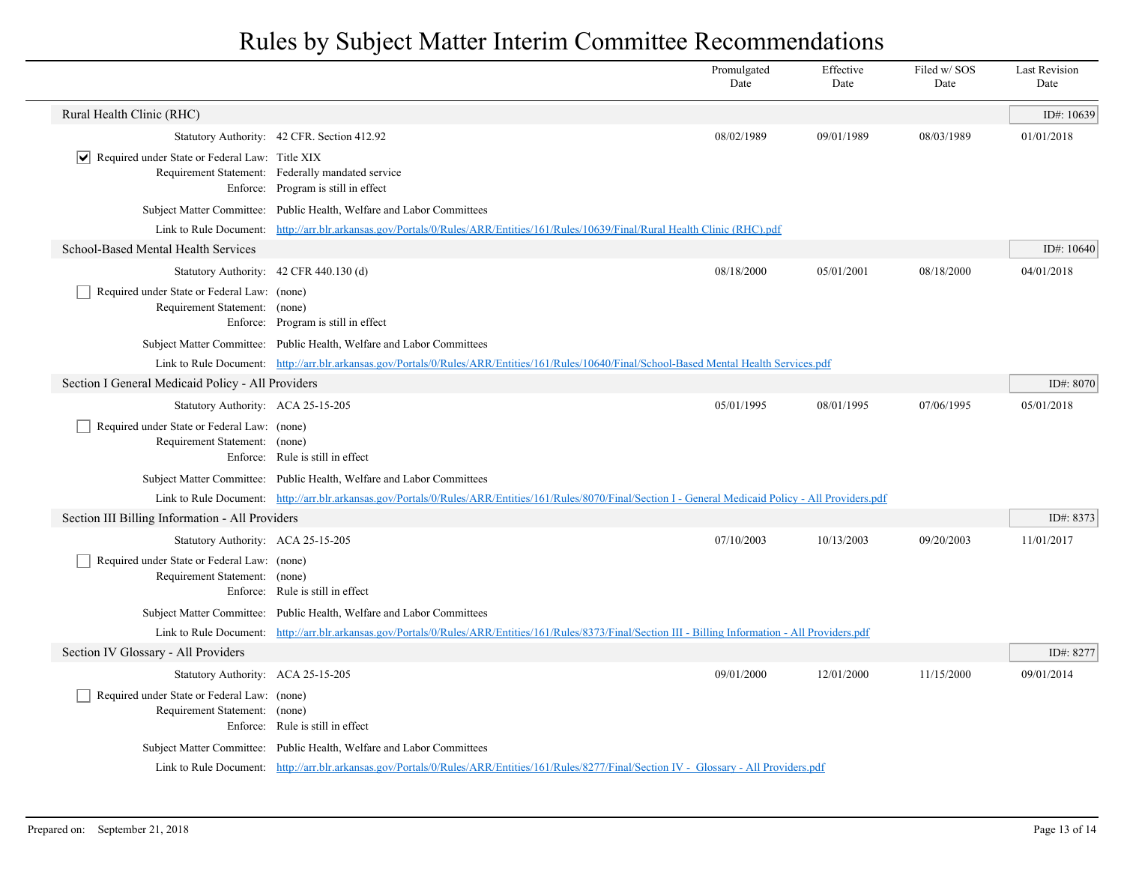|                                                                              |                                                                                                                                                              | Promulgated<br>Date | Effective<br>Date | Filed w/SOS<br>Date | <b>Last Revision</b><br>Date |  |  |
|------------------------------------------------------------------------------|--------------------------------------------------------------------------------------------------------------------------------------------------------------|---------------------|-------------------|---------------------|------------------------------|--|--|
| Rural Health Clinic (RHC)                                                    |                                                                                                                                                              |                     |                   |                     | ID#: 10639                   |  |  |
|                                                                              | Statutory Authority: 42 CFR. Section 412.92                                                                                                                  | 08/02/1989          | 09/01/1989        | 08/03/1989          | 01/01/2018                   |  |  |
| $ \mathbf{v} $ Required under State or Federal Law: Title XIX                | Requirement Statement: Federally mandated service<br>Enforce: Program is still in effect                                                                     |                     |                   |                     |                              |  |  |
|                                                                              | Subject Matter Committee: Public Health, Welfare and Labor Committees                                                                                        |                     |                   |                     |                              |  |  |
|                                                                              | Link to Rule Document: http://arr.blr.arkansas.gov/Portals/0/Rules/ARR/Entities/161/Rules/10639/Final/Rural Health Clinic (RHC).pdf                          |                     |                   |                     |                              |  |  |
| School-Based Mental Health Services                                          |                                                                                                                                                              |                     |                   |                     | ID#: $10640$                 |  |  |
|                                                                              | Statutory Authority: 42 CFR 440.130 (d)                                                                                                                      | 08/18/2000          | 05/01/2001        | 08/18/2000          | 04/01/2018                   |  |  |
| Required under State or Federal Law: (none)<br>Requirement Statement: (none) | Enforce: Program is still in effect                                                                                                                          |                     |                   |                     |                              |  |  |
|                                                                              | Subject Matter Committee: Public Health, Welfare and Labor Committees                                                                                        |                     |                   |                     |                              |  |  |
|                                                                              | Link to Rule Document: http://arr.blr.arkansas.gov/Portals/0/Rules/ARR/Entities/161/Rules/10640/Final/School-Based Mental Health Services.pdf                |                     |                   |                     |                              |  |  |
| Section I General Medicaid Policy - All Providers                            |                                                                                                                                                              |                     |                   |                     | ID#: 8070                    |  |  |
| Statutory Authority: ACA 25-15-205                                           |                                                                                                                                                              | 05/01/1995          | 08/01/1995        | 07/06/1995          | 05/01/2018                   |  |  |
| Required under State or Federal Law: (none)<br>Requirement Statement: (none) | Enforce: Rule is still in effect                                                                                                                             |                     |                   |                     |                              |  |  |
|                                                                              | Subject Matter Committee: Public Health, Welfare and Labor Committees                                                                                        |                     |                   |                     |                              |  |  |
|                                                                              | Link to Rule Document: http://arr.blr.arkansas.gov/Portals/0/Rules/ARR/Entities/161/Rules/8070/Final/Section I - General Medicaid Policy - All Providers.pdf |                     |                   |                     |                              |  |  |
| Section III Billing Information - All Providers                              |                                                                                                                                                              |                     |                   |                     | ID#: 8373                    |  |  |
| Statutory Authority: ACA 25-15-205                                           |                                                                                                                                                              | 07/10/2003          | 10/13/2003        | 09/20/2003          | 11/01/2017                   |  |  |
| Required under State or Federal Law: (none)<br>Requirement Statement: (none) | Enforce: Rule is still in effect                                                                                                                             |                     |                   |                     |                              |  |  |
|                                                                              | Subject Matter Committee: Public Health, Welfare and Labor Committees                                                                                        |                     |                   |                     |                              |  |  |
|                                                                              | Link to Rule Document: http://arr.blr.arkansas.gov/Portals/0/Rules/ARR/Entities/161/Rules/8373/Final/Section III - Billing Information - All Providers.pdf   |                     |                   |                     |                              |  |  |
| Section IV Glossary - All Providers                                          |                                                                                                                                                              |                     |                   |                     | ID#: 8277                    |  |  |
| Statutory Authority: ACA 25-15-205                                           |                                                                                                                                                              | 09/01/2000          | 12/01/2000        | 11/15/2000          | 09/01/2014                   |  |  |
| Required under State or Federal Law: (none)<br>Requirement Statement: (none) | Enforce: Rule is still in effect                                                                                                                             |                     |                   |                     |                              |  |  |
|                                                                              | Subject Matter Committee: Public Health, Welfare and Labor Committees                                                                                        |                     |                   |                     |                              |  |  |
|                                                                              | Link to Rule Document: http://arr.blr.arkansas.gov/Portals/0/Rules/ARR/Entities/161/Rules/8277/Final/Section IV - Glossary - All Providers.pdf               |                     |                   |                     |                              |  |  |